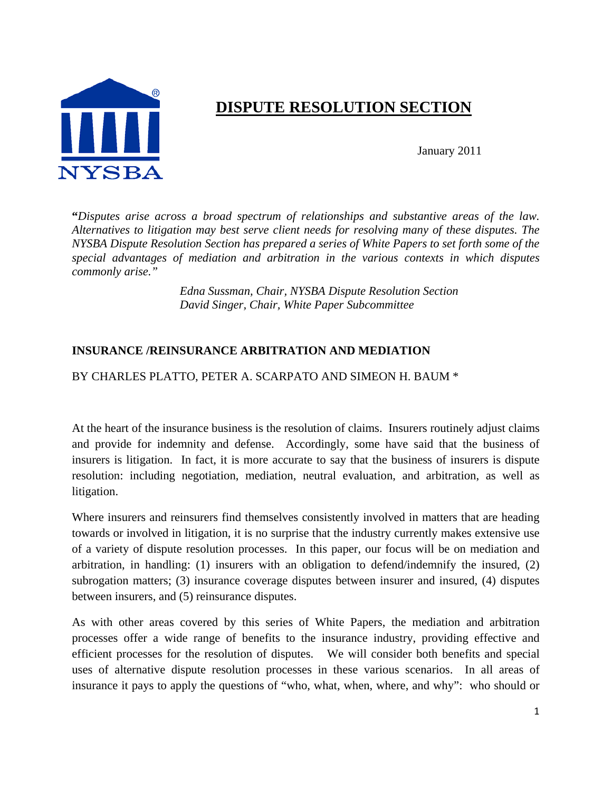

# **DISPUTE RESOLUTION SECTION**

January 2011

**"***Disputes arise across a broad spectrum of relationships and substantive areas of the law. Alternatives to litigation may best serve client needs for resolving many of these disputes. The NYSBA Dispute Resolution Section has prepared a series of White Papers to set forth some of the special advantages of mediation and arbitration in the various contexts in which disputes commonly arise."*

> *Edna Sussman, Chair, NYSBA Dispute Resolution Section David Singer, Chair, White Paper Subcommittee*

# **INSURANCE /REINSURANCE ARBITRATION AND MEDIATION**

#### BY CHARLES PLATTO, PETER A. SCARPATO AND SIMEON H. BAUM \*

At the heart of the insurance business is the resolution of claims. Insurers routinely adjust claims and provide for indemnity and defense. Accordingly, some have said that the business of insurers is litigation. In fact, it is more accurate to say that the business of insurers is dispute resolution: including negotiation, mediation, neutral evaluation, and arbitration, as well as litigation.

Where insurers and reinsurers find themselves consistently involved in matters that are heading towards or involved in litigation, it is no surprise that the industry currently makes extensive use of a variety of dispute resolution processes. In this paper, our focus will be on mediation and arbitration, in handling: (1) insurers with an obligation to defend/indemnify the insured, (2) subrogation matters; (3) insurance coverage disputes between insurer and insured, (4) disputes between insurers, and (5) reinsurance disputes.

As with other areas covered by this series of White Papers, the mediation and arbitration processes offer a wide range of benefits to the insurance industry, providing effective and efficient processes for the resolution of disputes. We will consider both benefits and special uses of alternative dispute resolution processes in these various scenarios. In all areas of insurance it pays to apply the questions of "who, what, when, where, and why": who should or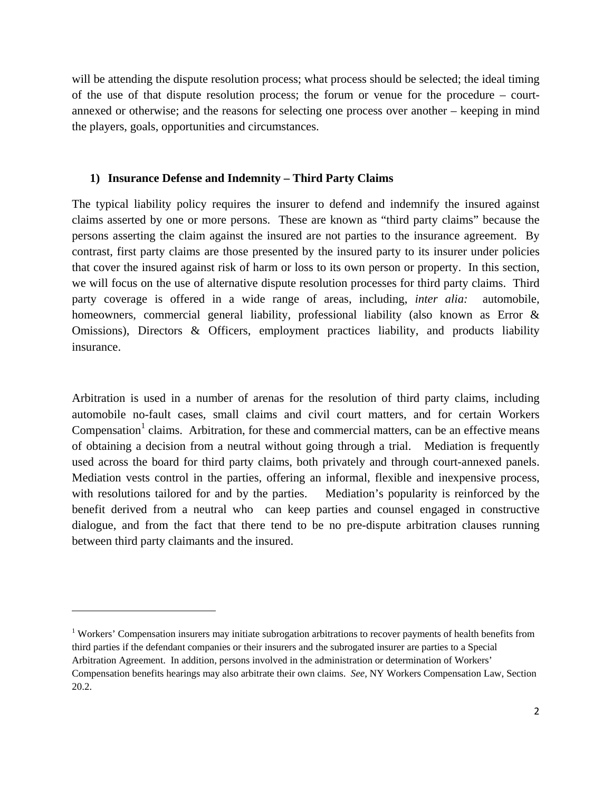will be attending the dispute resolution process; what process should be selected; the ideal timing of the use of that dispute resolution process; the forum or venue for the procedure – courtannexed or otherwise; and the reasons for selecting one process over another – keeping in mind the players, goals, opportunities and circumstances.

#### **1) Insurance Defense and Indemnity – Third Party Claims**

The typical liability policy requires the insurer to defend and indemnify the insured against claims asserted by one or more persons. These are known as "third party claims" because the persons asserting the claim against the insured are not parties to the insurance agreement. By contrast, first party claims are those presented by the insured party to its insurer under policies that cover the insured against risk of harm or loss to its own person or property. In this section, we will focus on the use of alternative dispute resolution processes for third party claims. Third party coverage is offered in a wide range of areas, including, *inter alia:* automobile, homeowners, commercial general liability, professional liability (also known as Error & Omissions), Directors & Officers, employment practices liability, and products liability insurance.

Arbitration is used in a number of arenas for the resolution of third party claims, including automobile no-fault cases, small claims and civil court matters, and for certain Workers Compensation<sup>1</sup> claims. Arbitration, for these and commercial matters, can be an effective means of obtaining a decision from a neutral without going through a trial. Mediation is frequently used across the board for third party claims, both privately and through court-annexed panels. Mediation vests control in the parties, offering an informal, flexible and inexpensive process, with resolutions tailored for and by the parties. Mediation's popularity is reinforced by the benefit derived from a neutral who can keep parties and counsel engaged in constructive dialogue, and from the fact that there tend to be no pre-dispute arbitration clauses running between third party claimants and the insured.

<sup>&</sup>lt;sup>1</sup> Workers' Compensation insurers may initiate subrogation arbitrations to recover payments of health benefits from third parties if the defendant companies or their insurers and the subrogated insurer are parties to a Special Arbitration Agreement. In addition, persons involved in the administration or determination of Workers' Compensation benefits hearings may also arbitrate their own claims. *See*, NY Workers Compensation Law, Section 20.2.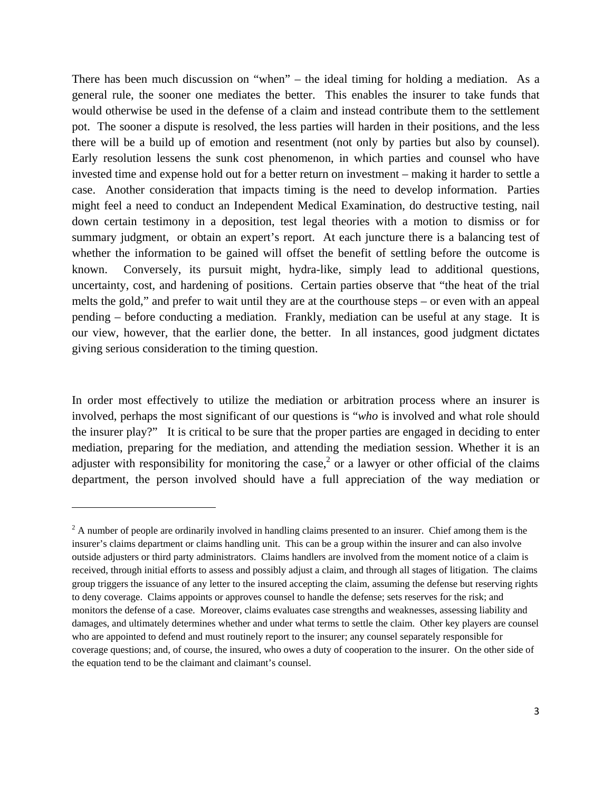There has been much discussion on "when" – the ideal timing for holding a mediation. As a general rule, the sooner one mediates the better. This enables the insurer to take funds that would otherwise be used in the defense of a claim and instead contribute them to the settlement pot. The sooner a dispute is resolved, the less parties will harden in their positions, and the less there will be a build up of emotion and resentment (not only by parties but also by counsel). Early resolution lessens the sunk cost phenomenon, in which parties and counsel who have invested time and expense hold out for a better return on investment – making it harder to settle a case. Another consideration that impacts timing is the need to develop information. Parties might feel a need to conduct an Independent Medical Examination, do destructive testing, nail down certain testimony in a deposition, test legal theories with a motion to dismiss or for summary judgment, or obtain an expert's report. At each juncture there is a balancing test of whether the information to be gained will offset the benefit of settling before the outcome is known. Conversely, its pursuit might, hydra-like, simply lead to additional questions, uncertainty, cost, and hardening of positions. Certain parties observe that "the heat of the trial melts the gold," and prefer to wait until they are at the courthouse steps – or even with an appeal pending – before conducting a mediation. Frankly, mediation can be useful at any stage. It is our view, however, that the earlier done, the better. In all instances, good judgment dictates giving serious consideration to the timing question.

In order most effectively to utilize the mediation or arbitration process where an insurer is involved, perhaps the most significant of our questions is "*who* is involved and what role should the insurer play?" It is critical to be sure that the proper parties are engaged in deciding to enter mediation, preparing for the mediation, and attending the mediation session. Whether it is an adjuster with responsibility for monitoring the case,<sup>2</sup> or a lawyer or other official of the claims department, the person involved should have a full appreciation of the way mediation or

 $2^2$  A number of people are ordinarily involved in handling claims presented to an insurer. Chief among them is the insurer's claims department or claims handling unit. This can be a group within the insurer and can also involve outside adjusters or third party administrators. Claims handlers are involved from the moment notice of a claim is received, through initial efforts to assess and possibly adjust a claim, and through all stages of litigation. The claims group triggers the issuance of any letter to the insured accepting the claim, assuming the defense but reserving rights to deny coverage. Claims appoints or approves counsel to handle the defense; sets reserves for the risk; and monitors the defense of a case. Moreover, claims evaluates case strengths and weaknesses, assessing liability and damages, and ultimately determines whether and under what terms to settle the claim. Other key players are counsel who are appointed to defend and must routinely report to the insurer; any counsel separately responsible for coverage questions; and, of course, the insured, who owes a duty of cooperation to the insurer. On the other side of the equation tend to be the claimant and claimant's counsel.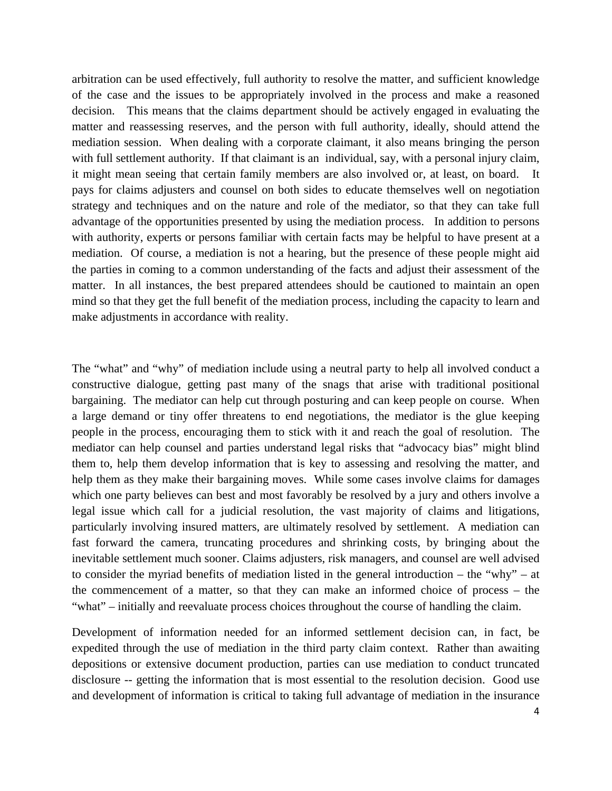arbitration can be used effectively, full authority to resolve the matter, and sufficient knowledge of the case and the issues to be appropriately involved in the process and make a reasoned decision. This means that the claims department should be actively engaged in evaluating the matter and reassessing reserves, and the person with full authority, ideally, should attend the mediation session. When dealing with a corporate claimant, it also means bringing the person with full settlement authority. If that claimant is an individual, say, with a personal injury claim, it might mean seeing that certain family members are also involved or, at least, on board. It pays for claims adjusters and counsel on both sides to educate themselves well on negotiation strategy and techniques and on the nature and role of the mediator, so that they can take full advantage of the opportunities presented by using the mediation process. In addition to persons with authority, experts or persons familiar with certain facts may be helpful to have present at a mediation. Of course, a mediation is not a hearing, but the presence of these people might aid the parties in coming to a common understanding of the facts and adjust their assessment of the matter. In all instances, the best prepared attendees should be cautioned to maintain an open mind so that they get the full benefit of the mediation process, including the capacity to learn and make adjustments in accordance with reality.

The "what" and "why" of mediation include using a neutral party to help all involved conduct a constructive dialogue, getting past many of the snags that arise with traditional positional bargaining. The mediator can help cut through posturing and can keep people on course. When a large demand or tiny offer threatens to end negotiations, the mediator is the glue keeping people in the process, encouraging them to stick with it and reach the goal of resolution. The mediator can help counsel and parties understand legal risks that "advocacy bias" might blind them to, help them develop information that is key to assessing and resolving the matter, and help them as they make their bargaining moves. While some cases involve claims for damages which one party believes can best and most favorably be resolved by a jury and others involve a legal issue which call for a judicial resolution, the vast majority of claims and litigations, particularly involving insured matters, are ultimately resolved by settlement. A mediation can fast forward the camera, truncating procedures and shrinking costs, by bringing about the inevitable settlement much sooner. Claims adjusters, risk managers, and counsel are well advised to consider the myriad benefits of mediation listed in the general introduction – the "why" – at the commencement of a matter, so that they can make an informed choice of process – the "what" – initially and reevaluate process choices throughout the course of handling the claim.

Development of information needed for an informed settlement decision can, in fact, be expedited through the use of mediation in the third party claim context. Rather than awaiting depositions or extensive document production, parties can use mediation to conduct truncated disclosure -- getting the information that is most essential to the resolution decision. Good use and development of information is critical to taking full advantage of mediation in the insurance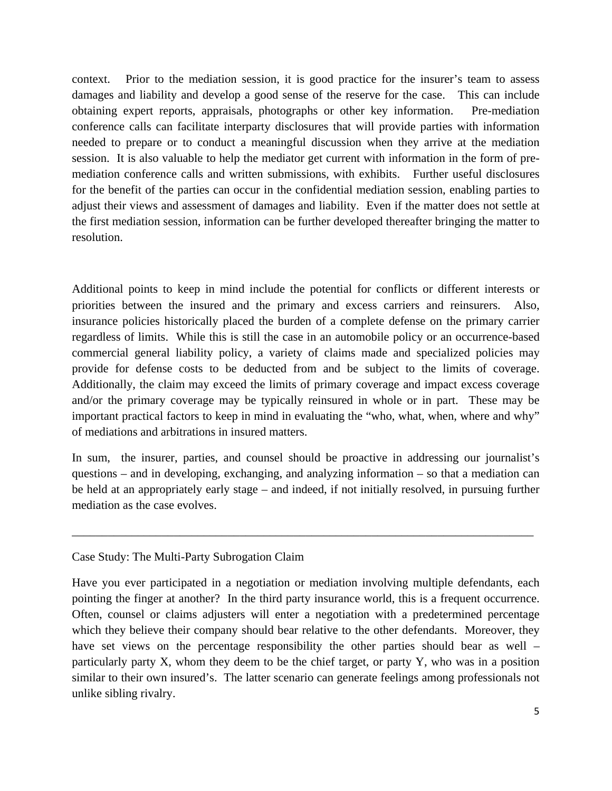context. Prior to the mediation session, it is good practice for the insurer's team to assess damages and liability and develop a good sense of the reserve for the case. This can include obtaining expert reports, appraisals, photographs or other key information. Pre-mediation conference calls can facilitate interparty disclosures that will provide parties with information needed to prepare or to conduct a meaningful discussion when they arrive at the mediation session. It is also valuable to help the mediator get current with information in the form of premediation conference calls and written submissions, with exhibits. Further useful disclosures for the benefit of the parties can occur in the confidential mediation session, enabling parties to adjust their views and assessment of damages and liability. Even if the matter does not settle at the first mediation session, information can be further developed thereafter bringing the matter to resolution.

Additional points to keep in mind include the potential for conflicts or different interests or priorities between the insured and the primary and excess carriers and reinsurers. Also, insurance policies historically placed the burden of a complete defense on the primary carrier regardless of limits. While this is still the case in an automobile policy or an occurrence-based commercial general liability policy, a variety of claims made and specialized policies may provide for defense costs to be deducted from and be subject to the limits of coverage. Additionally, the claim may exceed the limits of primary coverage and impact excess coverage and/or the primary coverage may be typically reinsured in whole or in part. These may be important practical factors to keep in mind in evaluating the "who, what, when, where and why" of mediations and arbitrations in insured matters.

In sum, the insurer, parties, and counsel should be proactive in addressing our journalist's questions – and in developing, exchanging, and analyzing information – so that a mediation can be held at an appropriately early stage – and indeed, if not initially resolved, in pursuing further mediation as the case evolves.

\_\_\_\_\_\_\_\_\_\_\_\_\_\_\_\_\_\_\_\_\_\_\_\_\_\_\_\_\_\_\_\_\_\_\_\_\_\_\_\_\_\_\_\_\_\_\_\_\_\_\_\_\_\_\_\_\_\_\_\_\_\_\_\_\_\_\_\_\_\_\_\_\_\_\_\_\_

#### Case Study: The Multi-Party Subrogation Claim

Have you ever participated in a negotiation or mediation involving multiple defendants, each pointing the finger at another? In the third party insurance world, this is a frequent occurrence. Often, counsel or claims adjusters will enter a negotiation with a predetermined percentage which they believe their company should bear relative to the other defendants. Moreover, they have set views on the percentage responsibility the other parties should bear as well – particularly party X, whom they deem to be the chief target, or party Y, who was in a position similar to their own insured's. The latter scenario can generate feelings among professionals not unlike sibling rivalry.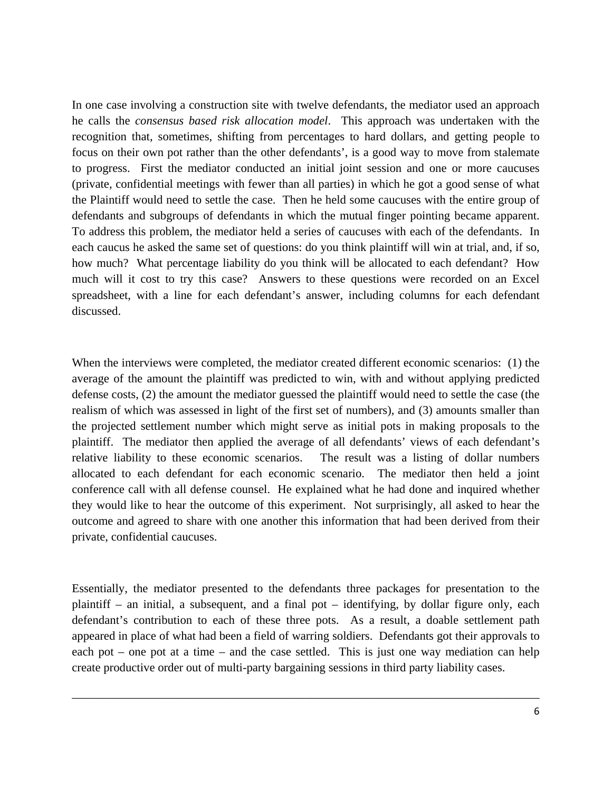In one case involving a construction site with twelve defendants, the mediator used an approach he calls the *consensus based risk allocation model*. This approach was undertaken with the recognition that, sometimes, shifting from percentages to hard dollars, and getting people to focus on their own pot rather than the other defendants', is a good way to move from stalemate to progress. First the mediator conducted an initial joint session and one or more caucuses (private, confidential meetings with fewer than all parties) in which he got a good sense of what the Plaintiff would need to settle the case. Then he held some caucuses with the entire group of defendants and subgroups of defendants in which the mutual finger pointing became apparent. To address this problem, the mediator held a series of caucuses with each of the defendants. In each caucus he asked the same set of questions: do you think plaintiff will win at trial, and, if so, how much? What percentage liability do you think will be allocated to each defendant? How much will it cost to try this case? Answers to these questions were recorded on an Excel spreadsheet, with a line for each defendant's answer, including columns for each defendant discussed.

When the interviews were completed, the mediator created different economic scenarios: (1) the average of the amount the plaintiff was predicted to win, with and without applying predicted defense costs, (2) the amount the mediator guessed the plaintiff would need to settle the case (the realism of which was assessed in light of the first set of numbers), and (3) amounts smaller than the projected settlement number which might serve as initial pots in making proposals to the plaintiff. The mediator then applied the average of all defendants' views of each defendant's relative liability to these economic scenarios. The result was a listing of dollar numbers allocated to each defendant for each economic scenario. The mediator then held a joint conference call with all defense counsel. He explained what he had done and inquired whether they would like to hear the outcome of this experiment. Not surprisingly, all asked to hear the outcome and agreed to share with one another this information that had been derived from their private, confidential caucuses.

Essentially, the mediator presented to the defendants three packages for presentation to the plaintiff – an initial, a subsequent, and a final pot – identifying, by dollar figure only, each defendant's contribution to each of these three pots. As a result, a doable settlement path appeared in place of what had been a field of warring soldiers. Defendants got their approvals to each pot – one pot at a time – and the case settled. This is just one way mediation can help create productive order out of multi-party bargaining sessions in third party liability cases.

\_\_\_\_\_\_\_\_\_\_\_\_\_\_\_\_\_\_\_\_\_\_\_\_\_\_\_\_\_\_\_\_\_\_\_\_\_\_\_\_\_\_\_\_\_\_\_\_\_\_\_\_\_\_\_\_\_\_\_\_\_\_\_\_\_\_\_\_\_\_\_\_\_\_\_\_\_\_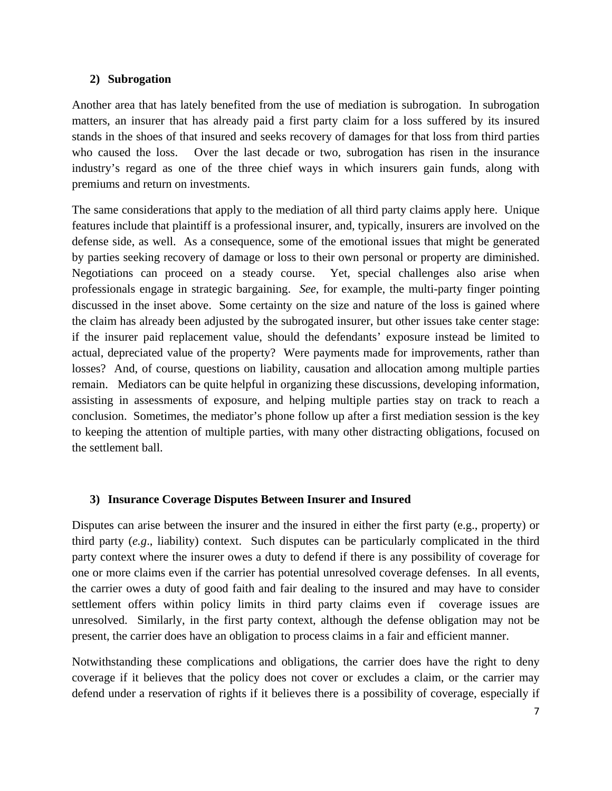### **2) Subrogation**

Another area that has lately benefited from the use of mediation is subrogation. In subrogation matters, an insurer that has already paid a first party claim for a loss suffered by its insured stands in the shoes of that insured and seeks recovery of damages for that loss from third parties who caused the loss. Over the last decade or two, subrogation has risen in the insurance industry's regard as one of the three chief ways in which insurers gain funds, along with premiums and return on investments.

The same considerations that apply to the mediation of all third party claims apply here. Unique features include that plaintiff is a professional insurer, and, typically, insurers are involved on the defense side, as well. As a consequence, some of the emotional issues that might be generated by parties seeking recovery of damage or loss to their own personal or property are diminished. Negotiations can proceed on a steady course. Yet, special challenges also arise when professionals engage in strategic bargaining. *See*, for example, the multi-party finger pointing discussed in the inset above. Some certainty on the size and nature of the loss is gained where the claim has already been adjusted by the subrogated insurer, but other issues take center stage: if the insurer paid replacement value, should the defendants' exposure instead be limited to actual, depreciated value of the property? Were payments made for improvements, rather than losses? And, of course, questions on liability, causation and allocation among multiple parties remain. Mediators can be quite helpful in organizing these discussions, developing information, assisting in assessments of exposure, and helping multiple parties stay on track to reach a conclusion. Sometimes, the mediator's phone follow up after a first mediation session is the key to keeping the attention of multiple parties, with many other distracting obligations, focused on the settlement ball.

# **3) Insurance Coverage Disputes Between Insurer and Insured**

Disputes can arise between the insurer and the insured in either the first party (e.g., property) or third party (*e.g*., liability) context. Such disputes can be particularly complicated in the third party context where the insurer owes a duty to defend if there is any possibility of coverage for one or more claims even if the carrier has potential unresolved coverage defenses. In all events, the carrier owes a duty of good faith and fair dealing to the insured and may have to consider settlement offers within policy limits in third party claims even if coverage issues are unresolved. Similarly, in the first party context, although the defense obligation may not be present, the carrier does have an obligation to process claims in a fair and efficient manner.

Notwithstanding these complications and obligations, the carrier does have the right to deny coverage if it believes that the policy does not cover or excludes a claim, or the carrier may defend under a reservation of rights if it believes there is a possibility of coverage, especially if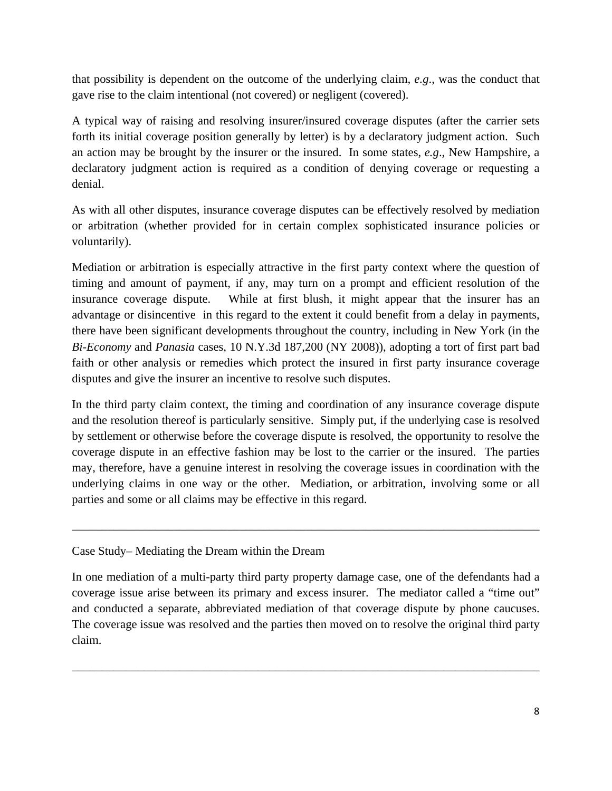that possibility is dependent on the outcome of the underlying claim, *e.g*., was the conduct that gave rise to the claim intentional (not covered) or negligent (covered).

A typical way of raising and resolving insurer/insured coverage disputes (after the carrier sets forth its initial coverage position generally by letter) is by a declaratory judgment action. Such an action may be brought by the insurer or the insured. In some states, *e.g*., New Hampshire, a declaratory judgment action is required as a condition of denying coverage or requesting a denial.

As with all other disputes, insurance coverage disputes can be effectively resolved by mediation or arbitration (whether provided for in certain complex sophisticated insurance policies or voluntarily).

Mediation or arbitration is especially attractive in the first party context where the question of timing and amount of payment, if any, may turn on a prompt and efficient resolution of the insurance coverage dispute. While at first blush, it might appear that the insurer has an advantage or disincentive in this regard to the extent it could benefit from a delay in payments, there have been significant developments throughout the country, including in New York (in the *Bi-Economy* and *Panasia* cases, 10 N.Y.3d 187,200 (NY 2008)), adopting a tort of first part bad faith or other analysis or remedies which protect the insured in first party insurance coverage disputes and give the insurer an incentive to resolve such disputes.

In the third party claim context, the timing and coordination of any insurance coverage dispute and the resolution thereof is particularly sensitive. Simply put, if the underlying case is resolved by settlement or otherwise before the coverage dispute is resolved, the opportunity to resolve the coverage dispute in an effective fashion may be lost to the carrier or the insured. The parties may, therefore, have a genuine interest in resolving the coverage issues in coordination with the underlying claims in one way or the other. Mediation, or arbitration, involving some or all parties and some or all claims may be effective in this regard.

\_\_\_\_\_\_\_\_\_\_\_\_\_\_\_\_\_\_\_\_\_\_\_\_\_\_\_\_\_\_\_\_\_\_\_\_\_\_\_\_\_\_\_\_\_\_\_\_\_\_\_\_\_\_\_\_\_\_\_\_\_\_\_\_\_\_\_\_\_\_\_\_\_\_\_\_\_\_

# Case Study– Mediating the Dream within the Dream

In one mediation of a multi-party third party property damage case, one of the defendants had a coverage issue arise between its primary and excess insurer. The mediator called a "time out" and conducted a separate, abbreviated mediation of that coverage dispute by phone caucuses. The coverage issue was resolved and the parties then moved on to resolve the original third party claim.

\_\_\_\_\_\_\_\_\_\_\_\_\_\_\_\_\_\_\_\_\_\_\_\_\_\_\_\_\_\_\_\_\_\_\_\_\_\_\_\_\_\_\_\_\_\_\_\_\_\_\_\_\_\_\_\_\_\_\_\_\_\_\_\_\_\_\_\_\_\_\_\_\_\_\_\_\_\_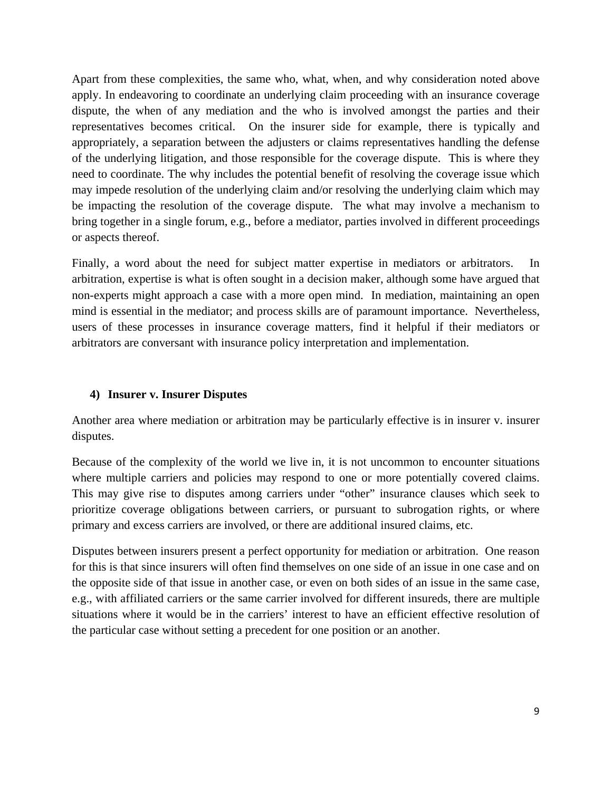Apart from these complexities, the same who, what, when, and why consideration noted above apply. In endeavoring to coordinate an underlying claim proceeding with an insurance coverage dispute, the when of any mediation and the who is involved amongst the parties and their representatives becomes critical. On the insurer side for example, there is typically and appropriately, a separation between the adjusters or claims representatives handling the defense of the underlying litigation, and those responsible for the coverage dispute. This is where they need to coordinate. The why includes the potential benefit of resolving the coverage issue which may impede resolution of the underlying claim and/or resolving the underlying claim which may be impacting the resolution of the coverage dispute. The what may involve a mechanism to bring together in a single forum, e.g., before a mediator, parties involved in different proceedings or aspects thereof.

Finally, a word about the need for subject matter expertise in mediators or arbitrators. In arbitration, expertise is what is often sought in a decision maker, although some have argued that non-experts might approach a case with a more open mind. In mediation, maintaining an open mind is essential in the mediator; and process skills are of paramount importance. Nevertheless, users of these processes in insurance coverage matters, find it helpful if their mediators or arbitrators are conversant with insurance policy interpretation and implementation.

## **4) Insurer v. Insurer Disputes**

Another area where mediation or arbitration may be particularly effective is in insurer v. insurer disputes.

Because of the complexity of the world we live in, it is not uncommon to encounter situations where multiple carriers and policies may respond to one or more potentially covered claims. This may give rise to disputes among carriers under "other" insurance clauses which seek to prioritize coverage obligations between carriers, or pursuant to subrogation rights, or where primary and excess carriers are involved, or there are additional insured claims, etc.

Disputes between insurers present a perfect opportunity for mediation or arbitration. One reason for this is that since insurers will often find themselves on one side of an issue in one case and on the opposite side of that issue in another case, or even on both sides of an issue in the same case, e.g., with affiliated carriers or the same carrier involved for different insureds, there are multiple situations where it would be in the carriers' interest to have an efficient effective resolution of the particular case without setting a precedent for one position or an another.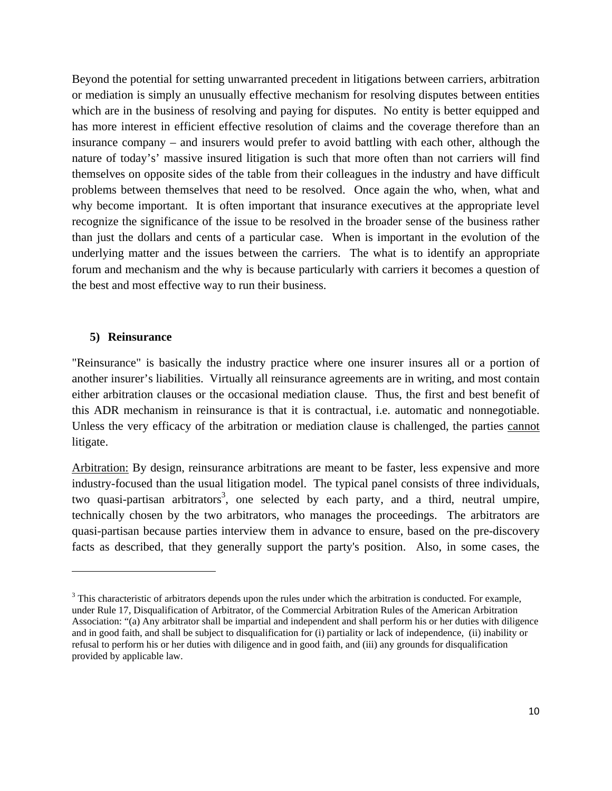Beyond the potential for setting unwarranted precedent in litigations between carriers, arbitration or mediation is simply an unusually effective mechanism for resolving disputes between entities which are in the business of resolving and paying for disputes. No entity is better equipped and has more interest in efficient effective resolution of claims and the coverage therefore than an insurance company – and insurers would prefer to avoid battling with each other, although the nature of today's' massive insured litigation is such that more often than not carriers will find themselves on opposite sides of the table from their colleagues in the industry and have difficult problems between themselves that need to be resolved. Once again the who, when, what and why become important. It is often important that insurance executives at the appropriate level recognize the significance of the issue to be resolved in the broader sense of the business rather than just the dollars and cents of a particular case. When is important in the evolution of the underlying matter and the issues between the carriers. The what is to identify an appropriate forum and mechanism and the why is because particularly with carriers it becomes a question of the best and most effective way to run their business.

#### **5) Reinsurance**

"Reinsurance" is basically the industry practice where one insurer insures all or a portion of another insurer's liabilities. Virtually all reinsurance agreements are in writing, and most contain either arbitration clauses or the occasional mediation clause. Thus, the first and best benefit of this ADR mechanism in reinsurance is that it is contractual, i.e. automatic and nonnegotiable. Unless the very efficacy of the arbitration or mediation clause is challenged, the parties cannot litigate.

Arbitration: By design, reinsurance arbitrations are meant to be faster, less expensive and more industry-focused than the usual litigation model. The typical panel consists of three individuals, two quasi-partisan arbitrators<sup>3</sup>, one selected by each party, and a third, neutral umpire, technically chosen by the two arbitrators, who manages the proceedings. The arbitrators are quasi-partisan because parties interview them in advance to ensure, based on the pre-discovery facts as described, that they generally support the party's position. Also, in some cases, the

 $3$  This characteristic of arbitrators depends upon the rules under which the arbitration is conducted. For example, under Rule 17, Disqualification of Arbitrator, of the Commercial Arbitration Rules of the American Arbitration Association: "(a) Any arbitrator shall be impartial and independent and shall perform his or her duties with diligence and in good faith, and shall be subject to disqualification for (i) partiality or lack of independence, (ii) inability or refusal to perform his or her duties with diligence and in good faith, and (iii) any grounds for disqualification provided by applicable law.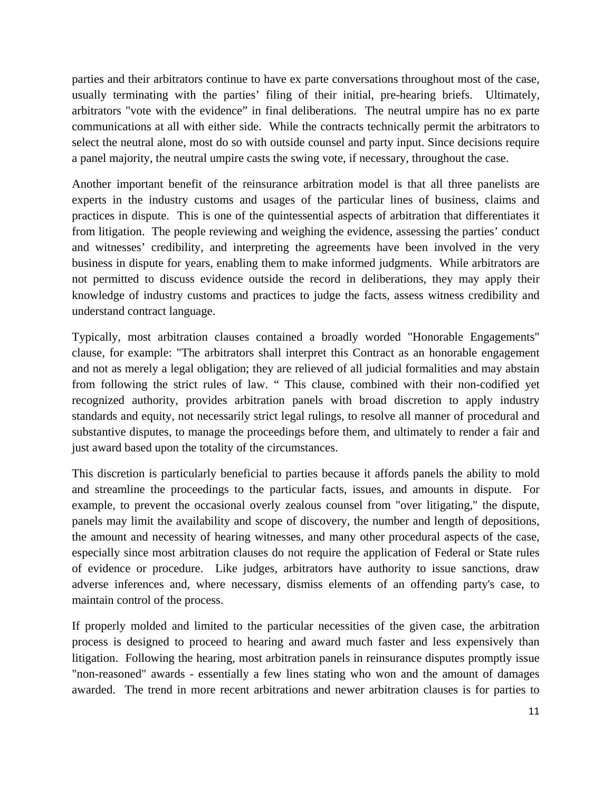parties and their arbitrators continue to have ex parte conversations throughout most of the case, usually terminating with the parties' filing of their initial, pre-hearing briefs. Ultimately, arbitrators "vote with the evidence" in final deliberations. The neutral umpire has no ex parte communications at all with either side. While the contracts technically permit the arbitrators to select the neutral alone, most do so with outside counsel and party input. Since decisions require a panel majority, the neutral umpire casts the swing vote, if necessary, throughout the case.

Another important benefit of the reinsurance arbitration model is that all three panelists are experts in the industry customs and usages of the particular lines of business, claims and practices in dispute. This is one of the quintessential aspects of arbitration that differentiates it from litigation. The people reviewing and weighing the evidence, assessing the parties' conduct and witnesses' credibility, and interpreting the agreements have been involved in the very business in dispute for years, enabling them to make informed judgments. While arbitrators are not permitted to discuss evidence outside the record in deliberations, they may apply their knowledge of industry customs and practices to judge the facts, assess witness credibility and understand contract language.

Typically, most arbitration clauses contained a broadly worded "Honorable Engagements" clause, for example: "The arbitrators shall interpret this Contract as an honorable engagement and not as merely a legal obligation; they are relieved of all judicial formalities and may abstain from following the strict rules of law. " This clause, combined with their non-codified yet recognized authority, provides arbitration panels with broad discretion to apply industry standards and equity, not necessarily strict legal rulings, to resolve all manner of procedural and substantive disputes, to manage the proceedings before them, and ultimately to render a fair and just award based upon the totality of the circumstances.

This discretion is particularly beneficial to parties because it affords panels the ability to mold and streamline the proceedings to the particular facts, issues, and amounts in dispute. For example, to prevent the occasional overly zealous counsel from "over litigating," the dispute, panels may limit the availability and scope of discovery, the number and length of depositions, the amount and necessity of hearing witnesses, and many other procedural aspects of the case, especially since most arbitration clauses do not require the application of Federal or State rules of evidence or procedure. Like judges, arbitrators have authority to issue sanctions, draw adverse inferences and, where necessary, dismiss elements of an offending party's case, to maintain control of the process.

If properly molded and limited to the particular necessities of the given case, the arbitration process is designed to proceed to hearing and award much faster and less expensively than litigation. Following the hearing, most arbitration panels in reinsurance disputes promptly issue "non-reasoned" awards - essentially a few lines stating who won and the amount of damages awarded. The trend in more recent arbitrations and newer arbitration clauses is for parties to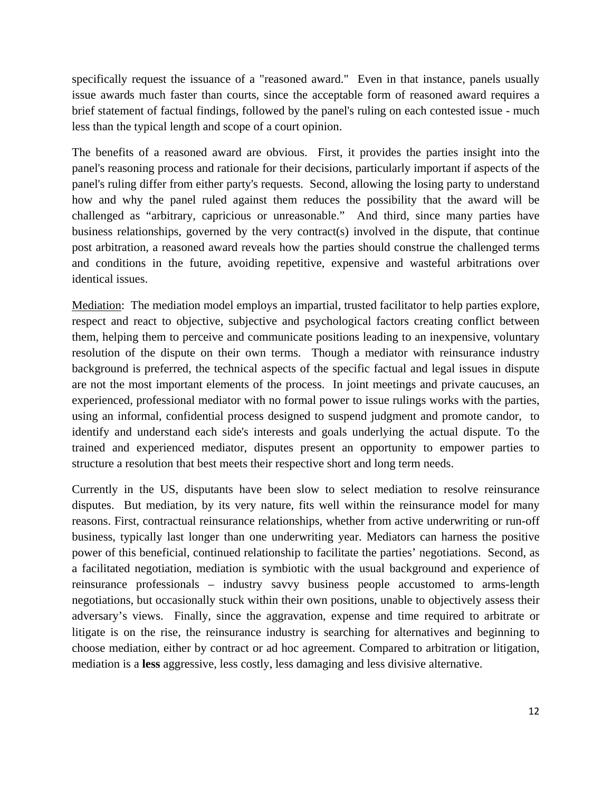specifically request the issuance of a "reasoned award." Even in that instance, panels usually issue awards much faster than courts, since the acceptable form of reasoned award requires a brief statement of factual findings, followed by the panel's ruling on each contested issue - much less than the typical length and scope of a court opinion.

The benefits of a reasoned award are obvious. First, it provides the parties insight into the panel's reasoning process and rationale for their decisions, particularly important if aspects of the panel's ruling differ from either party's requests. Second, allowing the losing party to understand how and why the panel ruled against them reduces the possibility that the award will be challenged as "arbitrary, capricious or unreasonable." And third, since many parties have business relationships, governed by the very contract(s) involved in the dispute, that continue post arbitration, a reasoned award reveals how the parties should construe the challenged terms and conditions in the future, avoiding repetitive, expensive and wasteful arbitrations over identical issues.

Mediation: The mediation model employs an impartial, trusted facilitator to help parties explore, respect and react to objective, subjective and psychological factors creating conflict between them, helping them to perceive and communicate positions leading to an inexpensive, voluntary resolution of the dispute on their own terms. Though a mediator with reinsurance industry background is preferred, the technical aspects of the specific factual and legal issues in dispute are not the most important elements of the process. In joint meetings and private caucuses, an experienced, professional mediator with no formal power to issue rulings works with the parties, using an informal, confidential process designed to suspend judgment and promote candor, to identify and understand each side's interests and goals underlying the actual dispute. To the trained and experienced mediator, disputes present an opportunity to empower parties to structure a resolution that best meets their respective short and long term needs.

Currently in the US, disputants have been slow to select mediation to resolve reinsurance disputes. But mediation, by its very nature, fits well within the reinsurance model for many reasons. First, contractual reinsurance relationships, whether from active underwriting or run-off business, typically last longer than one underwriting year. Mediators can harness the positive power of this beneficial, continued relationship to facilitate the parties' negotiations. Second, as a facilitated negotiation, mediation is symbiotic with the usual background and experience of reinsurance professionals – industry savvy business people accustomed to arms-length negotiations, but occasionally stuck within their own positions, unable to objectively assess their adversary's views. Finally, since the aggravation, expense and time required to arbitrate or litigate is on the rise, the reinsurance industry is searching for alternatives and beginning to choose mediation, either by contract or ad hoc agreement. Compared to arbitration or litigation, mediation is a **less** aggressive, less costly, less damaging and less divisive alternative.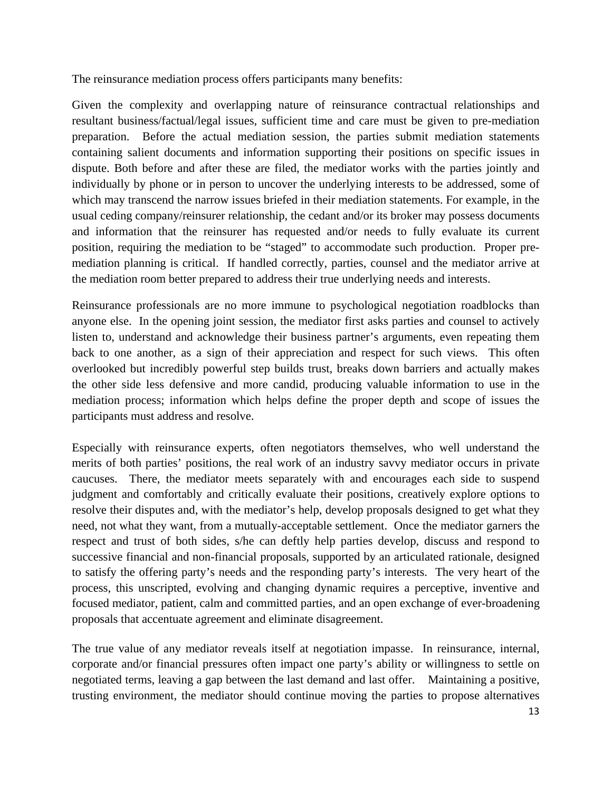The reinsurance mediation process offers participants many benefits:

Given the complexity and overlapping nature of reinsurance contractual relationships and resultant business/factual/legal issues, sufficient time and care must be given to pre-mediation preparation. Before the actual mediation session, the parties submit mediation statements containing salient documents and information supporting their positions on specific issues in dispute. Both before and after these are filed, the mediator works with the parties jointly and individually by phone or in person to uncover the underlying interests to be addressed, some of which may transcend the narrow issues briefed in their mediation statements. For example, in the usual ceding company/reinsurer relationship, the cedant and/or its broker may possess documents and information that the reinsurer has requested and/or needs to fully evaluate its current position, requiring the mediation to be "staged" to accommodate such production. Proper premediation planning is critical. If handled correctly, parties, counsel and the mediator arrive at the mediation room better prepared to address their true underlying needs and interests.

Reinsurance professionals are no more immune to psychological negotiation roadblocks than anyone else. In the opening joint session, the mediator first asks parties and counsel to actively listen to, understand and acknowledge their business partner's arguments, even repeating them back to one another, as a sign of their appreciation and respect for such views. This often overlooked but incredibly powerful step builds trust, breaks down barriers and actually makes the other side less defensive and more candid, producing valuable information to use in the mediation process; information which helps define the proper depth and scope of issues the participants must address and resolve.

Especially with reinsurance experts, often negotiators themselves, who well understand the merits of both parties' positions, the real work of an industry savvy mediator occurs in private caucuses. There, the mediator meets separately with and encourages each side to suspend judgment and comfortably and critically evaluate their positions, creatively explore options to resolve their disputes and, with the mediator's help, develop proposals designed to get what they need, not what they want, from a mutually-acceptable settlement. Once the mediator garners the respect and trust of both sides, s/he can deftly help parties develop, discuss and respond to successive financial and non-financial proposals, supported by an articulated rationale, designed to satisfy the offering party's needs and the responding party's interests. The very heart of the process, this unscripted, evolving and changing dynamic requires a perceptive, inventive and focused mediator, patient, calm and committed parties, and an open exchange of ever-broadening proposals that accentuate agreement and eliminate disagreement.

The true value of any mediator reveals itself at negotiation impasse. In reinsurance, internal, corporate and/or financial pressures often impact one party's ability or willingness to settle on negotiated terms, leaving a gap between the last demand and last offer. Maintaining a positive, trusting environment, the mediator should continue moving the parties to propose alternatives